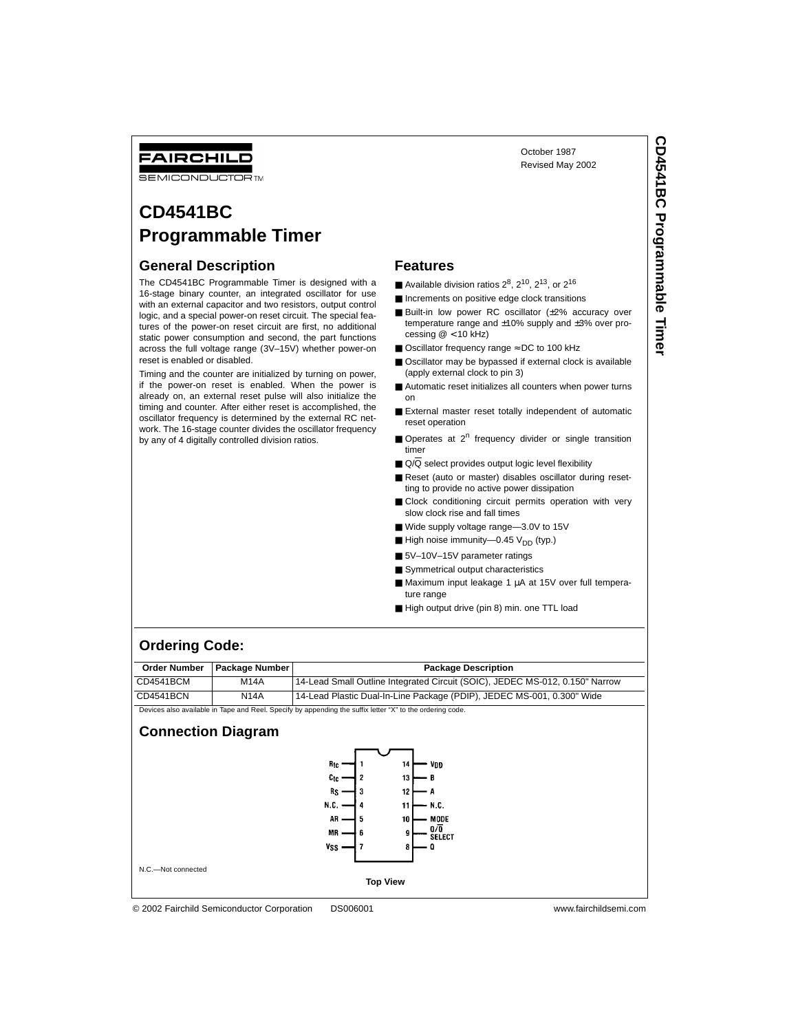## FAIRCHILD

**SEMICONDUCTOR TM** 

# **CD4541BC Programmable Timer**

#### **General Description**

The CD4541BC Programmable Timer is designed with a 16-stage binary counter, an integrated oscillator for use with an external capacitor and two resistors, output control logic, and a special power-on reset circuit. The special features of the power-on reset circuit are first, no additional static power consumption and second, the part functions across the full voltage range (3V–15V) whether power-on reset is enabled or disabled.

Timing and the counter are initialized by turning on power, if the power-on reset is enabled. When the power is already on, an external reset pulse will also initialize the timing and counter. After either reset is accomplished, the oscillator frequency is determined by the external RC network. The 16-stage counter divides the oscillator frequency by any of 4 digitally controlled division ratios.

#### **Features**

- Available division ratios  $2^8$ ,  $2^{10}$ ,  $2^{13}$ , or  $2^{16}$
- Increments on positive edge clock transitions
- Built-in low power RC oscillator (±2% accuracy over temperature range and ±10% supply and ±3% over processing  $@ < 10$  kHz)

October 1987 Revised May 2002

- Oscillator frequency range  $\simeq$  DC to 100 kHz
- Oscillator may be bypassed if external clock is available (apply external clock to pin 3)
- Automatic reset initializes all counters when power turns on
- External master reset totally independent of automatic reset operation
- Operates at 2<sup>n</sup> frequency divider or single transition timer
- $\Box$  Q/Q select provides output logic level flexibility
- Reset (auto or master) disables oscillator during resetting to provide no active power dissipation
- Clock conditioning circuit permits operation with very slow clock rise and fall times
- Wide supply voltage range-3.0V to 15V
- $\blacksquare$  High noise immunity—0.45 V<sub>DD</sub> (typ.)
- 5V-10V-15V parameter ratings
- Symmetrical output characteristics
- Maximum input leakage 1 µA at 15V over full temperature range
- High output drive (pin 8) min. one TTL load

#### **Ordering Code:**

|           | Order Number   Package Number | <b>Package Description</b>                                                   |
|-----------|-------------------------------|------------------------------------------------------------------------------|
| CD4541BCM | <b>M14A</b>                   | 14-Lead Small Outline Integrated Circuit (SOIC), JEDEC MS-012, 0.150" Narrow |
| CD4541BCN | <b>N14A</b>                   | 14-Lead Plastic Dual-In-Line Package (PDIP), JEDEC MS-001, 0.300" Wide       |
| $ -$      |                               |                                                                              |

Devices also available in Tape and Reel. Specify by appending the suffix letter "X" to the ordering code.

#### **Connection Diagram**



© 2002 Fairchild Semiconductor Corporation DS006001 www.fairchildsemi.com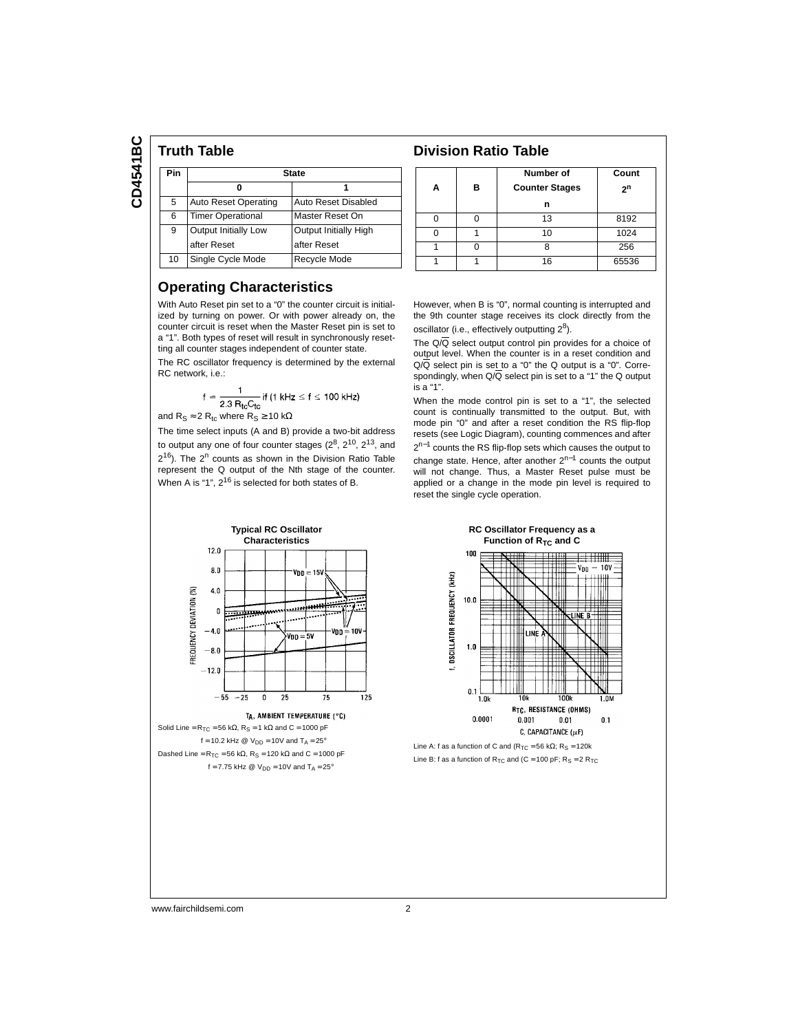CD4541BC **CD4541BC**

#### **Truth Table Communist Communist Communist Communist Communist Communist Communist Communist Communist Communist Communist Communist Communist Communist Communist Communist Communist Communist Communist Communist Communist** Pin State **0 1** 5 Auto Reset Operating Auto Reset Disabled 6 Timer Operational Master Reset On 9 Output Initially Low Output Initially High after Reset after Reset 10 Single Cycle Mode Recycle Mode

### **Operating Characteristics**

With Auto Reset pin set to a "0" the counter circuit is initialized by turning on power. Or with power already on, the counter circuit is reset when the Master Reset pin is set to a "1". Both types of reset will result in synchronously resetting all counter stages independent of counter state.

The RC oscillator frequency is determined by the external RC network, i.e.:

$$
f = \frac{1}{2.3 \, \text{R}_{\text{tc}}\text{C}_{\text{tc}}}
$$
 if (1 kHz  $\leq$  f  $\leq$  100 kHz)

and  $R_S \approx 2 R_{tc}$  where  $R_S \ge 10 k\Omega$ The time select inputs (A and B) provide a two-bit address

to output any one of four counter stages  $(2^8, 2^{10}, 2^{13},$  and  $2^{16}$ ). The  $2^n$  counts as shown in the Division Ratio Table represent the Q output of the Nth stage of the counter. When A is "1", 2<sup>16</sup> is selected for both states of B.

| А | в | Number of<br><b>Counter Stages</b><br>n | Count<br>2 <sup>n</sup> |
|---|---|-----------------------------------------|-------------------------|
|   |   | 13                                      | 8192                    |
|   |   | 10                                      | 1024                    |
|   |   |                                         | 256                     |
|   |   | 16                                      | 65536                   |

However, when B is "0", normal counting is interrupted and the 9th counter stage receives its clock directly from the oscillator (i.e., effectively outputting  $2^8$ ).

The  $Q/\overline{Q}$  select output control pin provides for a choice of output level. When the counter is in a reset condition and  $Q/\overline{Q}$  select pin is set to a "0" the Q output is a "0". Correspondingly, when  $Q/\overline{Q}$  select pin is set to a "1" the Q output is a "1".

When the mode control pin is set to a "1", the selected count is continually transmitted to the output. But, with mode pin "0" and after a reset condition the RS flip-flop resets (see Logic Diagram), counting commences and after 2<sup>n−1</sup> counts the RS flip-flop sets which causes the output to change state. Hence, after another 2n−1 counts the output will not change. Thus, a Master Reset pulse must be applied or a change in the mode pin level is required to reset the single cycle operation.

> **RC Oscillator Frequency as a Function of R<sub>TC</sub> and C**

> > RTC, RESISTANCE (OHMS)

C, CAPACITANCE  $(\mu F)$ 

 $0.01$ 

 $0.1$ 

 $0.001$ 

531111 .<br>Voo  $=10v$ 

 $100$ 

 $10.0$ 

 $1.0$ 

 $0.1$ 

 $1.01$ 

 $0.0001$ 



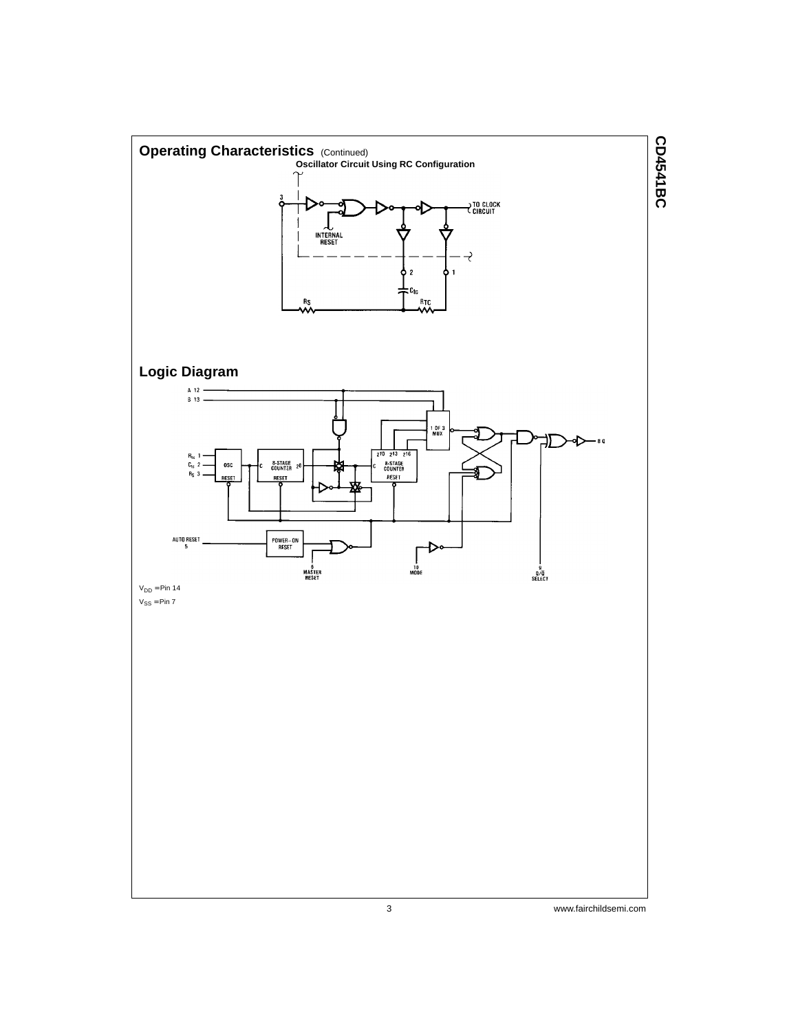

3 www.fairchildsemi.com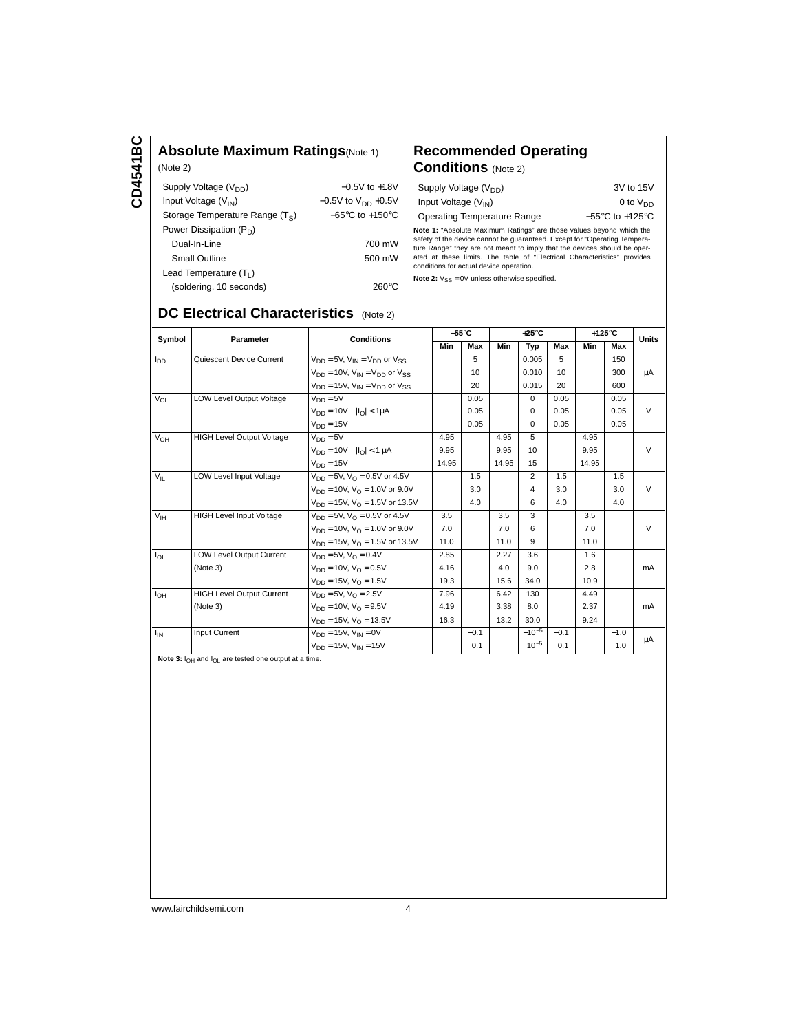CD4541BC **CD4541BC**

#### **Absolute Maximum Ratings**(Note 1) (Note 2)

| Supply Voltage (V <sub>DD</sub> ) | $-0.5V$ to $+18V$                   |
|-----------------------------------|-------------------------------------|
| Input Voltage $(V_{IN})$          | $-0.5V$ to $V_{DD}$ +0.5V           |
| Storage Temperature Range $(T_S)$ | $-65^{\circ}$ C to $+150^{\circ}$ C |
| Power Dissipation $(P_D)$         |                                     |
| Dual-In-Line                      | 700 mW                              |
| <b>Small Outline</b>              | 500 mW                              |
| Lead Temperature $(T_1)$          |                                     |
| (soldering, 10 seconds)           | 260°C                               |

#### **Recommended Operating Conditions** (Note 2)

| Supply Voltage $(V_{DD})$          | 3V to 15V                           |
|------------------------------------|-------------------------------------|
| Input Voltage $(V_{IN})$           | 0 to $V_{DD}$                       |
| <b>Operating Temperature Range</b> | $-55^{\circ}$ C to $+125^{\circ}$ C |

**Note 1:** "Absolute Maximum Ratings" are those values beyond which the safety of the device cannot be guaranteed. Except for "Operating Temperature Range" they are not meant to imply that the devices should be operatided a conditions for actual device operation.

**Note 2:**  $V_{SS} = 0V$  unless otherwise specified.

## **DC Electrical Characteristics** (Note 2)

| Symbol<br><b>Parameter</b> | <b>Conditions</b>                |                                                 | $-55^{\circ}$ C |                 | $+25^{\circ}$ C |                 |                 | $+125^{\circ}$ C |        |               |
|----------------------------|----------------------------------|-------------------------------------------------|-----------------|-----------------|-----------------|-----------------|-----------------|------------------|--------|---------------|
|                            |                                  |                                                 | Min             | Max             | Min             | Typ             | Max             | Min              | Max    | <b>Units</b>  |
| $I_{DD}$                   | Quiescent Device Current         | $V_{DD} = 5V$ , $V_{IN} = V_{DD}$ or $V_{SS}$   |                 | 5               |                 | 0.005           | 5               |                  | 150    |               |
|                            |                                  | $V_{DD}$ = 10V, $V_{IN}$ = $V_{DD}$ or $V_{SS}$ |                 | 10 <sup>1</sup> |                 | 0.010           | 10 <sup>1</sup> |                  | 300    | μA            |
|                            |                                  | $V_{DD} = 15V$ , $V_{IN} = V_{DD}$ or $V_{SS}$  |                 | 20              |                 | 0.015           | 20              |                  | 600    |               |
| $V_{OL}$                   | LOW Level Output Voltage         | $V_{DD} = 5V$                                   |                 | 0.05            |                 | $\Omega$        | 0.05            |                  | 0.05   |               |
|                            |                                  | $V_{DD} = 10V$ $ I_{O}  < 1 \mu A$              |                 | 0.05            |                 | $\Omega$        | 0.05            |                  | 0.05   | $\vee$        |
|                            |                                  | $V_{DD} = 15V$                                  |                 | 0.05            |                 | $\Omega$        | 0.05            |                  | 0.05   |               |
| $V_{OH}$                   | <b>HIGH Level Output Voltage</b> | $V_{DD} = 5V$                                   | 4.95            |                 | 4.95            | 5               |                 | 4.95             |        |               |
|                            |                                  | $V_{DD} = 10V$ $ I_{D}  < 1 \mu A$              | 9.95            |                 | 9.95            | 10 <sup>1</sup> |                 | 9.95             |        | $\mathcal{U}$ |
|                            |                                  | $V_{DD} = 15V$                                  | 14.95           |                 | 14.95           | 15              |                 | 14.95            |        |               |
| $V_{\parallel}$            | LOW Level Input Voltage          | $V_{DD} = 5V$ , $V_{\Omega} = 0.5V$ or 4.5V     |                 | 1.5             |                 | $\overline{2}$  | 1.5             |                  | 1.5    |               |
|                            |                                  | $V_{DD} = 10V$ , $V_{\Omega} = 1.0V$ or 9.0V    |                 | 3.0             |                 | 4               | 3.0             |                  | 3.0    | $\vee$        |
|                            |                                  | $V_{DD} = 15V$ , $V_{\Omega} = 1.5V$ or 13.5V   |                 | 4.0             |                 | 6               | 4.0             |                  | 4.0    |               |
| V <sub>IH</sub>            | <b>HIGH Level Input Voltage</b>  | $V_{DD} = 5V$ , $V_{\Omega} = 0.5V$ or 4.5V     | 3.5             |                 | 3.5             | 3               |                 | 3.5              |        |               |
|                            |                                  | $V_{DD}$ = 10V, $V_{\Omega}$ = 1.0V or 9.0V     | 7.0             |                 | 7.0             | 6               |                 | 7.0              |        | $\vee$        |
|                            |                                  | $V_{DD} = 15V$ , $V_{\Omega} = 1.5V$ or 13.5V   | 11.0            |                 | 11.0            | $\mathbf{Q}$    |                 | 11.0             |        |               |
| $I_{OL}$                   | <b>LOW Level Output Current</b>  | $V_{DD} = 5V$ , $V_{O} = 0.4V$                  | 2.85            |                 | 2.27            | 3.6             |                 | 1.6              |        |               |
|                            | (Note 3)                         | $V_{DD} = 10V$ , $V_{\Omega} = 0.5V$            | 4.16            |                 | 4.0             | 9.0             |                 | 2.8              |        | mA            |
|                            |                                  | $V_{DD} = 15V$ , $V_{O} = 1.5V$                 | 19.3            |                 | 15.6            | 34.0            |                 | 10.9             |        |               |
| $I_{OH}$                   | <b>HIGH Level Output Current</b> | $V_{DD} = 5V$ , $V_{\Omega} = 2.5V$             | 7.96            |                 | 6.42            | 130             |                 | 4.49             |        |               |
|                            | (Note 3)                         | $V_{DD} = 10V$ , $V_{\Omega} = 9.5V$            | 4.19            |                 | 3.38            | 8.0             |                 | 2.37             |        | mA            |
|                            |                                  | $V_{DD} = 15V$ , $V_{\Omega} = 13.5V$           | 16.3            |                 | 13.2            | 30.0            |                 | 9.24             |        |               |
| $I_{IN}$                   | Input Current                    | $V_{DD} = 15V$ , $V_{IN} = 0V$                  |                 | $-0.1$          |                 | $-10^{-5}$      | $-0.1$          |                  | $-1.0$ | μA            |
|                            |                                  | $V_{DD} = 15V$ , $V_{IN} = 15V$                 |                 | 0.1             |                 | $10^{-5}$       | 0.1             |                  | 1.0    |               |

Note 3:  $I_{OH}$  and  $I_{OL}$  are tested one output at a time.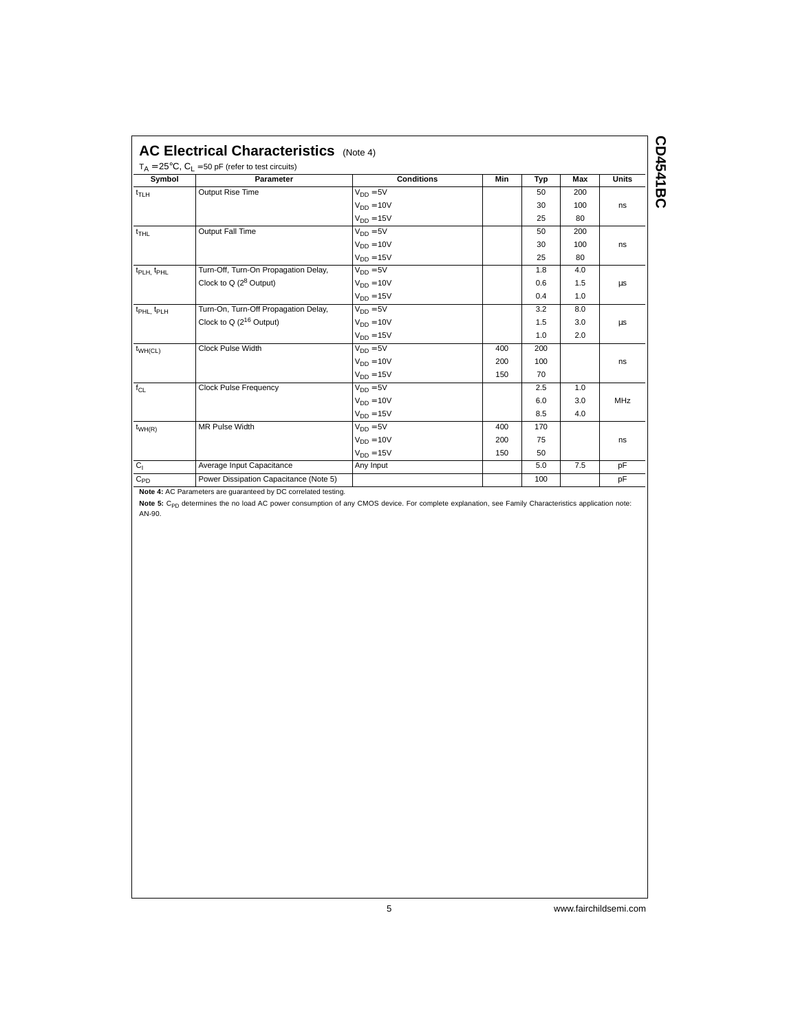| <b>Symbol</b>                      | Parameter                              | <b>Conditions</b> | Min | Typ | <b>Max</b> | <b>Units</b> |
|------------------------------------|----------------------------------------|-------------------|-----|-----|------------|--------------|
| $t_{TLH}$                          | Output Rise Time                       | $V_{DD} = 5V$     |     | 50  | 200        |              |
|                                    |                                        | $V_{DD} = 10V$    |     | 30  | 100        | ns           |
|                                    |                                        | $V_{DD} = 15V$    |     | 25  | 80         |              |
| $t_{THL}$                          | <b>Output Fall Time</b>                | $V_{DD} = 5V$     |     | 50  | 200        |              |
|                                    |                                        | $V_{DD} = 10V$    |     | 30  | 100        | ns           |
|                                    |                                        | $V_{DD} = 15V$    |     | 25  | 80         |              |
| t <sub>PLH.</sub> t <sub>PHL</sub> | Turn-Off, Turn-On Propagation Delay,   | $V_{DD} = 5V$     |     | 1.8 | 4.0        |              |
|                                    | Clock to $Q(2^8$ Output)               | $V_{DD} = 10V$    |     | 0.6 | 1.5        | μs           |
|                                    |                                        | $V_{DD} = 15V$    |     | 0.4 | 1.0        |              |
| t <sub>PHL</sub> t <sub>PLH</sub>  | Turn-On, Turn-Off Propagation Delay,   | $V_{DD} = 5V$     |     | 3.2 | 8.0        |              |
|                                    | Clock to Q $(2^{16}$ Output)           | $V_{DD} = 10V$    |     | 1.5 | 3.0        | μs           |
|                                    |                                        | $V_{DD} = 15V$    |     | 1.0 | 2.0        |              |
| $t_{WH(CL)}$                       | Clock Pulse Width                      | $V_{DD} = 5V$     | 400 | 200 |            |              |
|                                    |                                        | $V_{DD} = 10V$    | 200 | 100 |            | ns           |
|                                    |                                        | $V_{DD} = 15V$    | 150 | 70  |            |              |
| $f_{CL}$                           | <b>Clock Pulse Frequency</b>           | $V_{DD} = 5V$     |     | 2.5 | 1.0        |              |
|                                    |                                        | $V_{DD} = 10V$    |     | 6.0 | 3.0        | MHz          |
|                                    |                                        | $V_{DD} = 15V$    |     | 8.5 | 4.0        |              |
| $t_{WH(R)}$                        | MR Pulse Width                         | $V_{DD} = 5V$     | 400 | 170 |            |              |
|                                    |                                        | $V_{DD} = 10V$    | 200 | 75  |            | ns           |
|                                    |                                        | $V_{DD} = 15V$    | 150 | 50  |            |              |
| C <sub>1</sub>                     | Average Input Capacitance              | Any Input         |     | 5.0 | 7.5        | pF           |
| $C_{PD}$                           | Power Dissipation Capacitance (Note 5) |                   |     | 100 |            | pF           |
|                                    |                                        |                   |     |     |            |              |

**Note 4:** AC Parameters are guaranteed by DC correlated testing.

**Note 5:** C<sub>PD</sub> determines the no load AC power consumption of any CMOS device. For complete explanation, see Family Characteristics application note:<br>AN-90.

5 www.fairchildsemi.com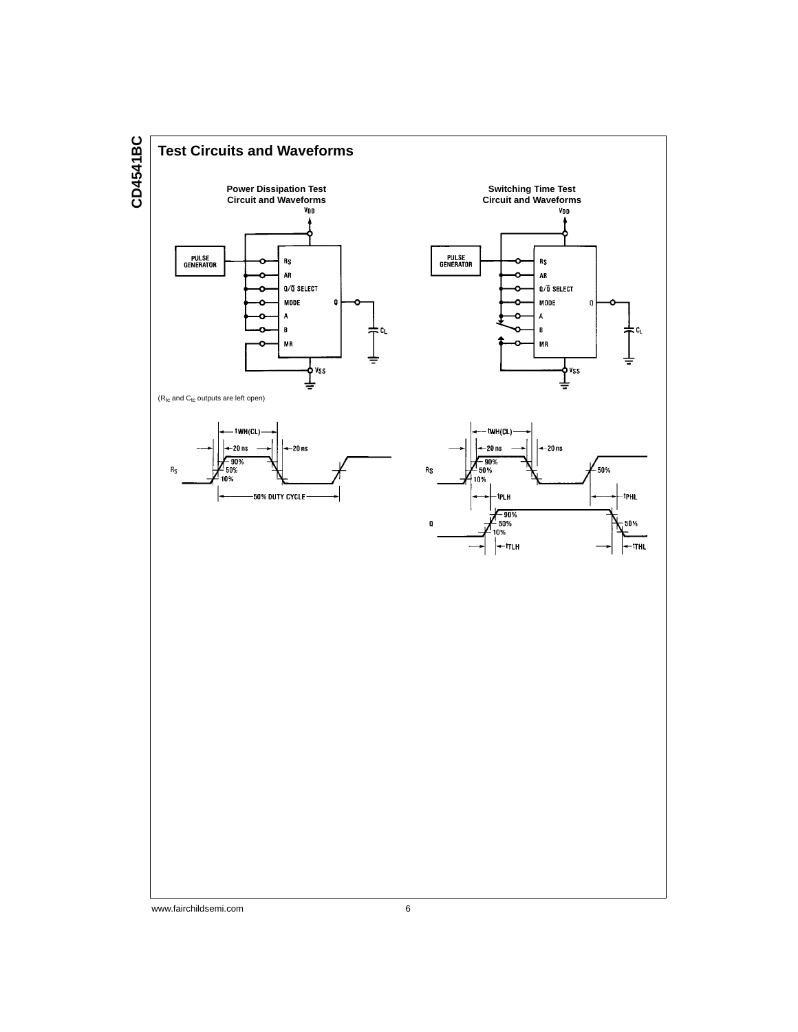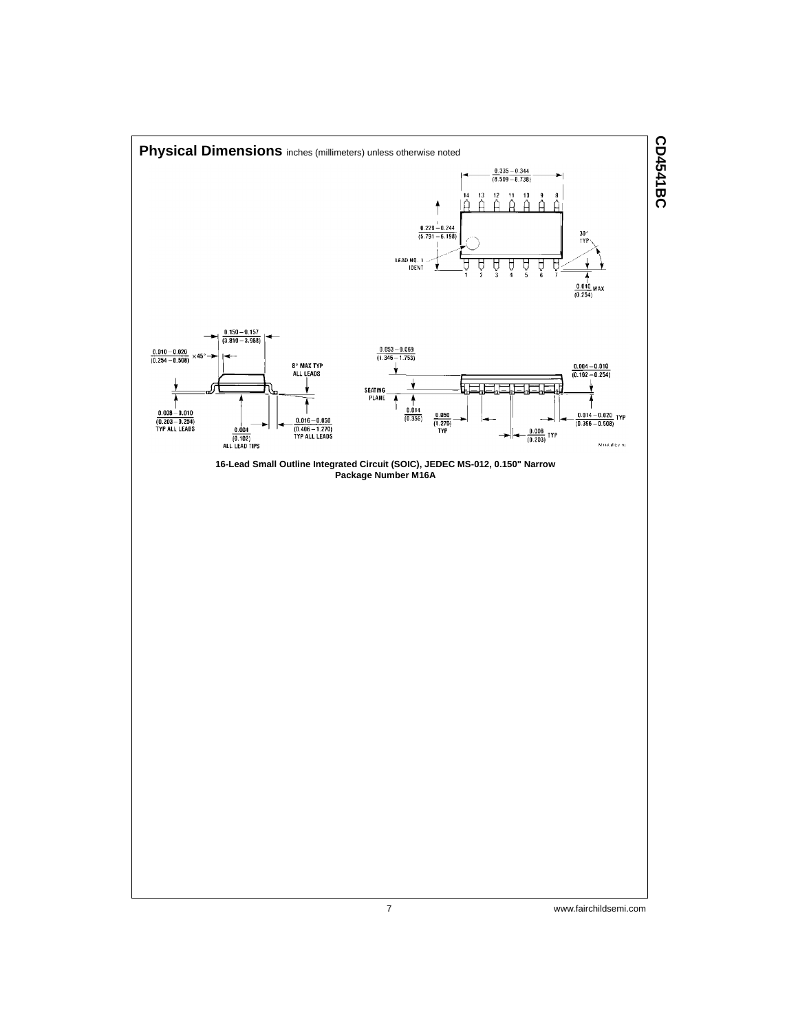